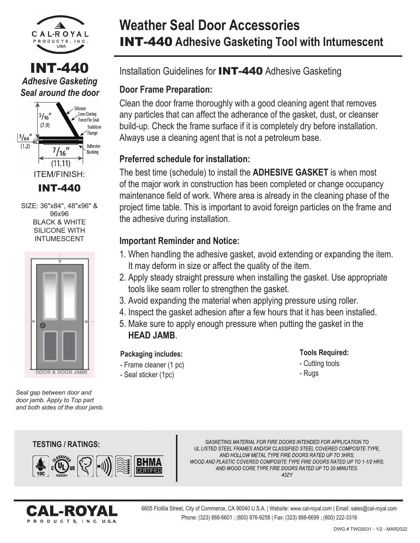

## INT-440 *Adhesive Gasketing Seal around the door*



SIZE: 36"x84", 48"x96" & 96x96 **BLACK & WHITE** SILICONE WITH INTUMESCENT



*Seal gap between door and door jamb. Apply to Top part and both sides of the door jamb.*

# **Weather Seal Door Accessories** INT-440 **Adhesive Gasketing Tool with Intumescent**

## Installation Guidelines for INT-440 Adhesive Gasketing

## **Door Frame Preparation:**

Clean the door frame thoroughly with a good cleaning agent that removes any particles that can affect the adherance of the gasket, dust, or cleanser build-up. Check the frame surface if it is completely dry before installation. Always use a cleaning agent that is not a petroleum base.

## **Preferred schedule for installation:**

The best time (schedule) to install the **ADHESIVE GASKET** is when most of the major work in construction has been completed or change occupancy maintenance field of work. Where area is already in the cleaning phase of the project time table. This is important to avoid foreign particles on the frame and the adhesive during installation.

### **Important Reminder and Notice:**

- 1. When handling the adhesive gasket, avoid extending or expanding the item. It may deform in size or affect the quality of the item.
- 2. Apply steady straight pressure when installing the gasket. Use appropriate tools like seam roller to strengthen the gasket.
- 3. Avoid expanding the material when applying pressure using roller.
- 4. Inspect the gasket adhesion after a few hours that it has been installed.
- 5. Make sure to apply enough pressure when putting the gasket in the **HEAD JAMB**.

#### - Frame cleaner (1 pc) **Packaging includes:**

- Seal sticker (1pc)

- **Tools Required:**
- Cutting tools
- Rugs

### **TESTING / RATINGS: TESTING**



GASKETING MATERIAL FOR FIRE DOORS INTENDED FOR APPLICATION TO UL LISTED STEEL FRAMES AND/OR CLASSIFIED STEEL COVERED COMPOSITE TYPE, AND HOLLOW METAL TYPE FIRE DOORS RATED UP TO 3HRS; WOOD AND PLASTIC COVERED COMPOSITE TYPE FIRE DOORS RATED UP TO 1-1/2 HRS: AND WOOD CORE TYPE FIRE DOORS RATED UP TO 20 MINUTES. 437Y



6605 Flotilla Street, City of Commerce, CA 90040 U.S.A. | Website: www.cal-royal.com | Email: sales@cal-royal.com Phone: (323) 888-6601 ; (800) 876-9258 | Fax: (323) 888-6699 ; (800) 222-3316

#### DWG # TWG5031 - 1/2 - MAR2022